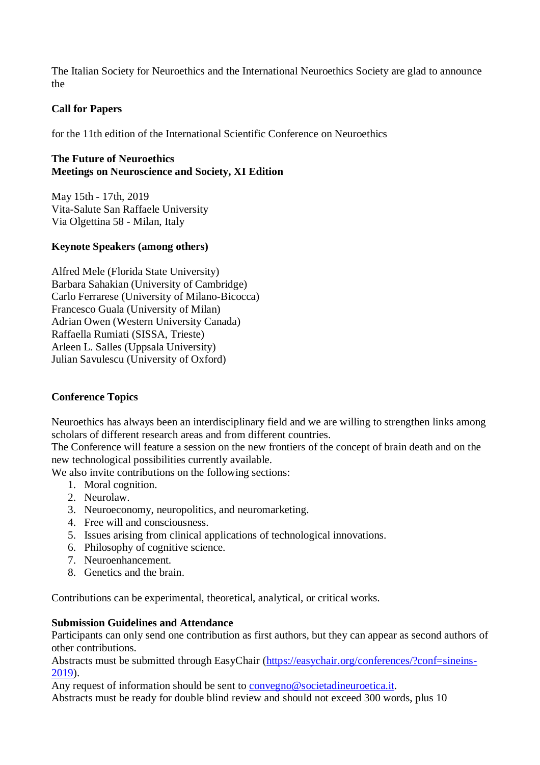The Italian Society for Neuroethics and the International Neuroethics Society are glad to announce the

# **Call for Papers**

for the 11th edition of the International Scientific Conference on Neuroethics

## **The Future of Neuroethics Meetings on Neuroscience and Society, XI Edition**

May 15th - 17th, 2019 Vita-Salute San Raffaele University Via Olgettina 58 - Milan, Italy

### **Keynote Speakers (among others)**

Alfred Mele (Florida State University) Barbara Sahakian (University of Cambridge) Carlo Ferrarese (University of Milano-Bicocca) Francesco Guala (University of Milan) Adrian Owen (Western University Canada) Raffaella Rumiati (SISSA, Trieste) Arleen L. Salles (Uppsala University) Julian Savulescu (University of Oxford)

## **Conference Topics**

Neuroethics has always been an interdisciplinary field and we are willing to strengthen links among scholars of different research areas and from different countries.

The Conference will feature a session on the new frontiers of the concept of brain death and on the new technological possibilities currently available.

We also invite contributions on the following sections:

- 1. Moral cognition.
- 2. Neurolaw.
- 3. Neuroeconomy, neuropolitics, and neuromarketing.
- 4. Free will and consciousness.
- 5. Issues arising from clinical applications of technological innovations.
- 6. Philosophy of cognitive science.
- 7. Neuroenhancement.
- 8. Genetics and the brain.

Contributions can be experimental, theoretical, analytical, or critical works.

#### **Submission Guidelines and Attendance**

Participants can only send one contribution as first authors, but they can appear as second authors of other contributions.

Abstracts must be submitted through EasyChair [\(https://easychair.org/conferences/?conf=sineins-](https://easychair.org/conferences/?conf=sineins-2019)[2019\)](https://easychair.org/conferences/?conf=sineins-2019).

Any request of information should be sent to [convegno@societadineuroetica.it.](mailto:convegno@societadineuroetica.it) Abstracts must be ready for double blind review and should not exceed 300 words, plus 10